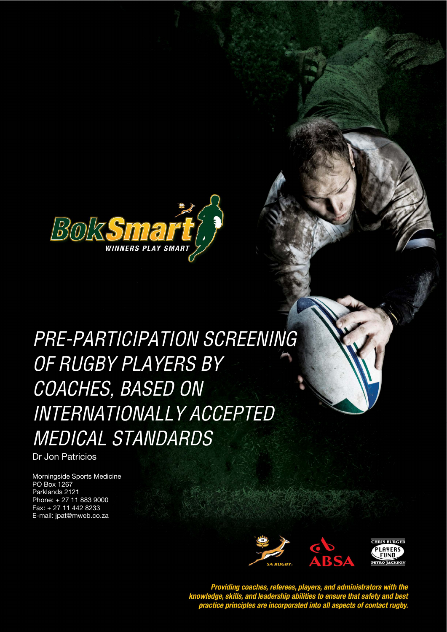

Pre-participation Screening of Rugby Players by Coaches, Based on Internationally Accepted Medical Standards

# PRE-PARTICIPATION SCREENING *STYLE HEADING FOR TABLES*  OF RUGBY PLAYERS BY COACHES, BASED ON INTERNATIONALLY ACCEPTED MEDICAL STANDARDS

Dr Jon Patricios

Morningside Sports Medicine PO Box 1267 Parklands 2121 Phone: + 27 11 883 9000 Fax: + 27 11 442 8233 E-mail: jpat@mweb.co.za



Providing coaches, referees, players, and administrators with the<br>knowledge, skills, and leadership abilities to ensure that safety and best<br>practice principles are incorporated into all aspects of contact rugby.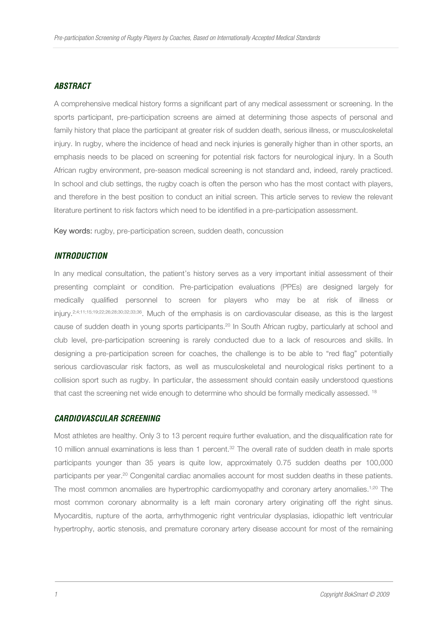#### *ABSTRACT*

A comprehensive medical history forms a significant part of any medical assessment or screening. In the sports participant, pre-participation screens are aimed at determining those aspects of personal and family history that place the participant at greater risk of sudden death, serious illness, or musculoskeletal injury. In rugby, where the incidence of head and neck injuries is generally higher than in other sports, an emphasis needs to be placed on screening for potential risk factors for neurological injury. In a South African rugby environment, pre-season medical screening is not standard and, indeed, rarely practiced. In school and club settings, the rugby coach is often the person who has the most contact with players, and therefore in the best position to conduct an initial screen. This article serves to review the relevant literature pertinent to risk factors which need to be identified in a pre-participation assessment.

Key words: rugby, pre-participation screen, sudden death, concussion

#### *INTRODUCTION*

In any medical consultation, the patient's history serves as a very important initial assessment of their presenting complaint or condition. Pre-participation evaluations (PPEs) are designed largely for medically qualified personnel to screen for players who may be at risk of illness or injury.2;4;11;15;19;22;26;28;30;32;33;36. Much of the emphasis is on cardiovascular disease, as this is the largest cause of sudden death in young sports participants.<sup>20</sup> In South African rugby, particularly at school and club level, pre-participation screening is rarely conducted due to a lack of resources and skills. In designing a pre-participation screen for coaches, the challenge is to be able to "red flag" potentially serious cardiovascular risk factors, as well as musculoskeletal and neurological risks pertinent to a collision sport such as rugby. In particular, the assessment should contain easily understood questions that cast the screening net wide enough to determine who should be formally medically assessed. <sup>18</sup>

#### *CARDIOVASCULAR SCREENING*

Most athletes are healthy. Only 3 to 13 percent require further evaluation, and the disqualification rate for 10 million annual examinations is less than 1 percent.<sup>32</sup> The overall rate of sudden death in male sports participants younger than 35 years is quite low, approximately 0.75 sudden deaths per 100,000 participants per year.<sup>20</sup> Congenital cardiac anomalies account for most sudden deaths in these patients. The most common anomalies are hypertrophic cardiomyopathy and coronary artery anomalies.<sup>1;20</sup> The most common coronary abnormality is a left main coronary artery originating off the right sinus. Myocarditis, rupture of the aorta, arrhythmogenic right ventricular dysplasias, idiopathic left ventricular hypertrophy, aortic stenosis, and premature coronary artery disease account for most of the remaining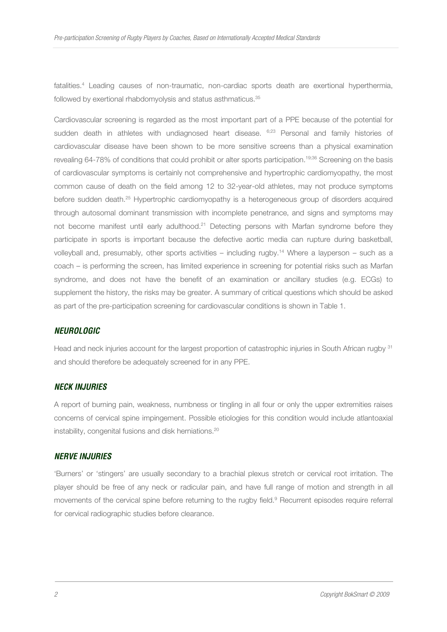fatalities.<sup>4</sup> Leading causes of non-traumatic, non-cardiac sports death are exertional hyperthermia, followed by exertional rhabdomyolysis and status asthmaticus.<sup>35</sup>

Cardiovascular screening is regarded as the most important part of a PPE because of the potential for sudden death in athletes with undiagnosed heart disease. 6;23 Personal and family histories of cardiovascular disease have been shown to be more sensitive screens than a physical examination revealing 64-78% of conditions that could prohibit or alter sports participation.<sup>19;36</sup> Screening on the basis of cardiovascular symptoms is certainly not comprehensive and hypertrophic cardiomyopathy, the most common cause of death on the field among 12 to 32-year-old athletes, may not produce symptoms before sudden death.<sup>25</sup> Hypertrophic cardiomyopathy is a heterogeneous group of disorders acquired through autosomal dominant transmission with incomplete penetrance, and signs and symptoms may not become manifest until early adulthood.<sup>21</sup> Detecting persons with Marfan syndrome before they participate in sports is important because the defective aortic media can rupture during basketball, volleyball and, presumably, other sports activities – including rugby.<sup>14</sup> Where a layperson – such as a coach – is performing the screen, has limited experience in screening for potential risks such as Marfan syndrome, and does not have the benefit of an examination or ancillary studies (e.g. ECGs) to supplement the history, the risks may be greater. A summary of critical questions which should be asked as part of the pre-participation screening for cardiovascular conditions is shown in Table 1.

#### *NEUROLOGIC*

Head and neck injuries account for the largest proportion of catastrophic injuries in South African rugby <sup>31</sup> and should therefore be adequately screened for in any PPE.

#### *NECK INJURIES*

A report of burning pain, weakness, numbness or tingling in all four or only the upper extremities raises concerns of cervical spine impingement. Possible etiologies for this condition would include atlantoaxial instability, congenital fusions and disk herniations.<sup>20</sup>

#### *NERVE INJURIES*

'Burners' or 'stingers' are usually secondary to a brachial plexus stretch or cervical root irritation. The player should be free of any neck or radicular pain, and have full range of motion and strength in all movements of the cervical spine before returning to the rugby field.<sup>9</sup> Recurrent episodes require referral for cervical radiographic studies before clearance.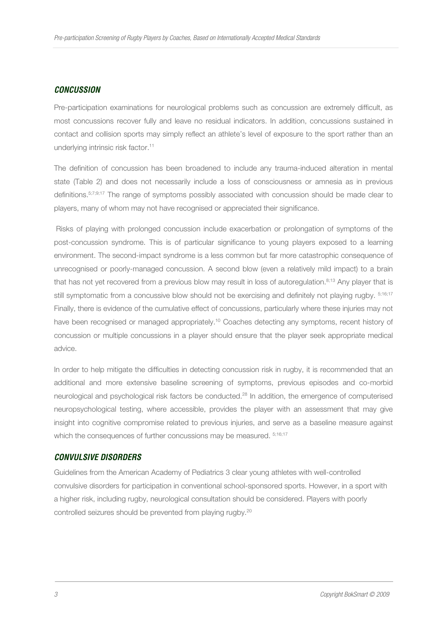#### *CONCUSSION*

Pre-participation examinations for neurological problems such as concussion are extremely difficult, as most concussions recover fully and leave no residual indicators. In addition, concussions sustained in contact and collision sports may simply reflect an athlete's level of exposure to the sport rather than an underlying intrinsic risk factor.<sup>11</sup>

The definition of concussion has been broadened to include any trauma-induced alteration in mental state (Table 2) and does not necessarily include a loss of consciousness or amnesia as in previous definitions.<sup>5;7;9;17</sup> The range of symptoms possibly associated with concussion should be made clear to players, many of whom may not have recognised or appreciated their significance.

 Risks of playing with prolonged concussion include exacerbation or prolongation of symptoms of the post-concussion syndrome. This is of particular significance to young players exposed to a learning environment. The second-impact syndrome is a less common but far more catastrophic consequence of unrecognised or poorly-managed concussion. A second blow (even a relatively mild impact) to a brain that has not yet recovered from a previous blow may result in loss of autoregulation.<sup>8;13</sup> Any player that is still symptomatic from a concussive blow should not be exercising and definitely not playing rugby.  $5;16;17$ Finally, there is evidence of the cumulative effect of concussions, particularly where these injuries may not have been recognised or managed appropriately.<sup>10</sup> Coaches detecting any symptoms, recent history of concussion or multiple concussions in a player should ensure that the player seek appropriate medical advice.

In order to help mitigate the difficulties in detecting concussion risk in rugby, it is recommended that an additional and more extensive baseline screening of symptoms, previous episodes and co-morbid neurological and psychological risk factors be conducted.<sup>28</sup> In addition, the emergence of computerised neuropsychological testing, where accessible, provides the player with an assessment that may give insight into cognitive compromise related to previous injuries, and serve as a baseline measure against which the consequences of further concussions may be measured.  $5,16,17$ 

#### *CONVULSIVE DISORDERS*

Guidelines from the American Academy of Pediatrics 3 clear young athletes with well-controlled convulsive disorders for participation in conventional school-sponsored sports. However, in a sport with a higher risk, including rugby, neurological consultation should be considered. Players with poorly controlled seizures should be prevented from playing rugby.<sup>20</sup>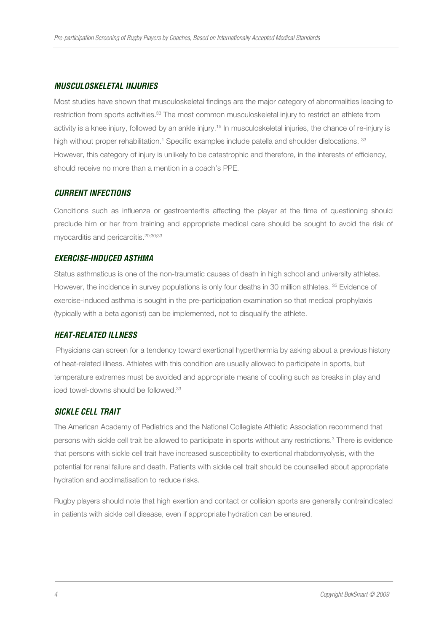#### *MUSCULOSKELETAL INJURIES*

Most studies have shown that musculoskeletal findings are the major category of abnormalities leading to restriction from sports activities.<sup>33</sup> The most common musculoskeletal injury to restrict an athlete from activity is a knee injury, followed by an ankle injury.<sup>15</sup> In musculoskeletal injuries, the chance of re-injury is high without proper rehabilitation.<sup>1</sup> Specific examples include patella and shoulder dislocations. <sup>33</sup> However, this category of injury is unlikely to be catastrophic and therefore, in the interests of efficiency, should receive no more than a mention in a coach's PPE.

#### *CURRENT INFECTIONS*

Conditions such as influenza or gastroenteritis affecting the player at the time of questioning should preclude him or her from training and appropriate medical care should be sought to avoid the risk of myocarditis and pericarditis.<sup>20;30;33</sup>

#### *EXERCISE-INDUCED ASTHMA*

Status asthmaticus is one of the non-traumatic causes of death in high school and university athletes. However, the incidence in survey populations is only four deaths in 30 million athletes. <sup>35</sup> Evidence of exercise-induced asthma is sought in the pre-participation examination so that medical prophylaxis (typically with a beta agonist) can be implemented, not to disqualify the athlete.

#### *HEAT-RELATED ILLNESS*

 Physicians can screen for a tendency toward exertional hyperthermia by asking about a previous history of heat-related illness. Athletes with this condition are usually allowed to participate in sports, but temperature extremes must be avoided and appropriate means of cooling such as breaks in play and iced towel-downs should be followed.<sup>33</sup>

#### *SICKLE CELL TRAIT*

The American Academy of Pediatrics and the National Collegiate Athletic Association recommend that persons with sickle cell trait be allowed to participate in sports without any restrictions.<sup>3</sup> There is evidence that persons with sickle cell trait have increased susceptibility to exertional rhabdomyolysis, with the potential for renal failure and death. Patients with sickle cell trait should be counselled about appropriate hydration and acclimatisation to reduce risks.

Rugby players should note that high exertion and contact or collision sports are generally contraindicated in patients with sickle cell disease, even if appropriate hydration can be ensured.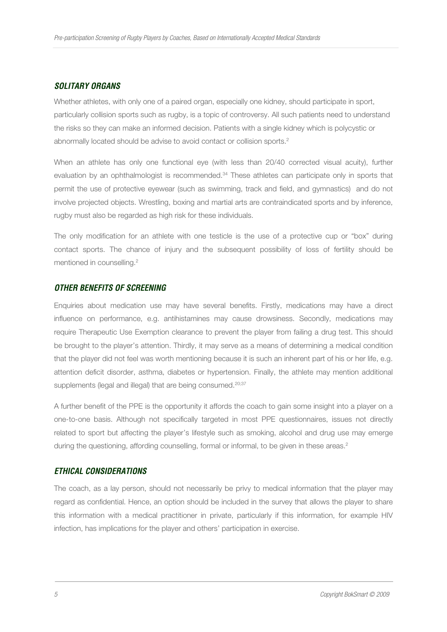#### *SOLITARY ORGANS*

Whether athletes, with only one of a paired organ, especially one kidney, should participate in sport, particularly collision sports such as rugby, is a topic of controversy. All such patients need to understand the risks so they can make an informed decision. Patients with a single kidney which is polycystic or abnormally located should be advise to avoid contact or collision sports.<sup>2</sup>

When an athlete has only one functional eye (with less than 20/40 corrected visual acuity), further evaluation by an ophthalmologist is recommended.<sup>34</sup> These athletes can participate only in sports that permit the use of protective eyewear (such as swimming, track and field, and gymnastics) and do not involve projected objects. Wrestling, boxing and martial arts are contraindicated sports and by inference, rugby must also be regarded as high risk for these individuals.

The only modification for an athlete with one testicle is the use of a protective cup or "box" during contact sports. The chance of injury and the subsequent possibility of loss of fertility should be mentioned in counselling.<sup>2</sup>

#### *OTHER BENEFITS OF SCREENING*

Enquiries about medication use may have several benefits. Firstly, medications may have a direct influence on performance, e.g. antihistamines may cause drowsiness. Secondly, medications may require Therapeutic Use Exemption clearance to prevent the player from failing a drug test. This should be brought to the player's attention. Thirdly, it may serve as a means of determining a medical condition that the player did not feel was worth mentioning because it is such an inherent part of his or her life, e.g. attention deficit disorder, asthma, diabetes or hypertension. Finally, the athlete may mention additional supplements (legal and illegal) that are being consumed.<sup>20;37</sup>

A further benefit of the PPE is the opportunity it affords the coach to gain some insight into a player on a one-to-one basis. Although not specifically targeted in most PPE questionnaires, issues not directly related to sport but affecting the player's lifestyle such as smoking, alcohol and drug use may emerge during the questioning, affording counselling, formal or informal, to be given in these areas.<sup>2</sup>

#### *ETHICAL CONSIDERATIONS*

The coach, as a lay person, should not necessarily be privy to medical information that the player may regard as confidential. Hence, an option should be included in the survey that allows the player to share this information with a medical practitioner in private, particularly if this information, for example HIV infection, has implications for the player and others' participation in exercise.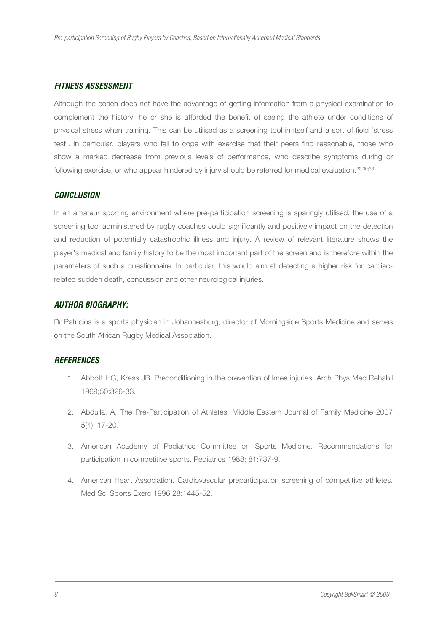#### *FITNESS ASSESSMENT*

Although the coach does not have the advantage of getting information from a physical examination to complement the history, he or she is afforded the benefit of seeing the athlete under conditions of physical stress when training. This can be utilised as a screening tool in itself and a sort of field 'stress test'. In particular, players who fail to cope with exercise that their peers find reasonable, those who show a marked decrease from previous levels of performance, who describe symptoms during or following exercise, or who appear hindered by injury should be referred for medical evaluation.<sup>20;30;33</sup>

#### *CONCLUSION*

In an amateur sporting environment where pre-participation screening is sparingly utilised, the use of a screening tool administered by rugby coaches could significantly and positively impact on the detection and reduction of potentially catastrophic illness and injury. A review of relevant literature shows the player's medical and family history to be the most important part of the screen and is therefore within the parameters of such a questionnaire. In particular, this would aim at detecting a higher risk for cardiacrelated sudden death, concussion and other neurological injuries.

#### *AUTHOR BIOGRAPHY:*

Dr Patricios is a sports physician in Johannesburg, director of Morningside Sports Medicine and serves on the South African Rugby Medical Association.

#### *REFERENCES*

- 1. Abbott HG, Kress JB. Preconditioning in the prevention of knee injuries. Arch Phys Med Rehabil 1969;50:326-33.
- 2. Abdulla, A, The Pre-Participation of Athletes. Middle Eastern Journal of Family Medicine 2007 5(4), 17-20.
- 3. American Academy of Pediatrics Committee on Sports Medicine. Recommendations for participation in competitive sports. Pediatrics 1988; 81:737-9.
- 4. American Heart Association. Cardiovascular preparticipation screening of competitive athletes. Med Sci Sports Exerc 1996;28:1445-52.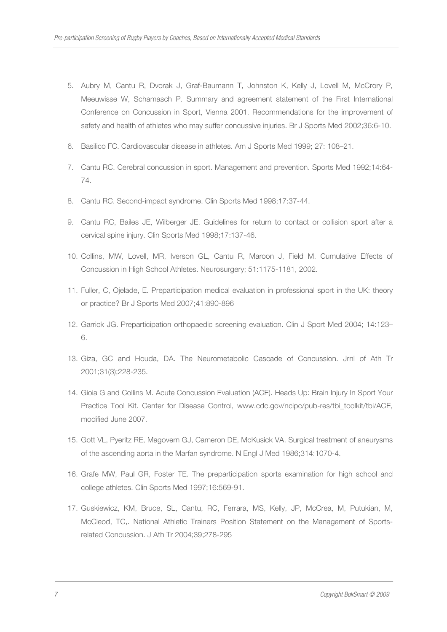- 5. Aubry M, Cantu R, Dvorak J, Graf-Baumann T, Johnston K, Kelly J, Lovell M, McCrory P, Meeuwisse W, Schamasch P. Summary and agreement statement of the First International Conference on Concussion in Sport, Vienna 2001. Recommendations for the improvement of safety and health of athletes who may suffer concussive injuries. Br J Sports Med 2002;36:6-10.
- 6. Basilico FC. Cardiovascular disease in athletes. Am J Sports Med 1999; 27: 108–21.
- 7. Cantu RC. Cerebral concussion in sport. Management and prevention. Sports Med 1992;14:64- 74.
- 8. Cantu RC. Second-impact syndrome. Clin Sports Med 1998;17:37-44.
- 9. Cantu RC, Bailes JE, Wilberger JE. Guidelines for return to contact or collision sport after a cervical spine injury. Clin Sports Med 1998;17:137-46.
- 10. Collins, MW, Lovell, MR, Iverson GL, Cantu R, Maroon J, Field M. Cumulative Effects of Concussion in High School Athletes. Neurosurgery; 51:1175-1181, 2002.
- 11. Fuller, C, Ojelade, E. Preparticipation medical evaluation in professional sport in the UK: theory or practice? Br J Sports Med 2007;41:890-896
- 12. Garrick JG. Preparticipation orthopaedic screening evaluation. Clin J Sport Med 2004; 14:123– 6.
- 13. Giza, GC and Houda, DA. The Neurometabolic Cascade of Concussion. Jrnl of Ath Tr 2001;31(3);228-235.
- 14. Gioia G and Collins M. Acute Concussion Evaluation (ACE). Heads Up: Brain Injury In Sport Your Practice Tool Kit. Center for Disease Control, www.cdc.gov/ncipc/pub-res/tbi\_toolkit/tbi/ACE, modified June 2007.
- 15. Gott VL, Pyeritz RE, Magovern GJ, Cameron DE, McKusick VA. Surgical treatment of aneurysms of the ascending aorta in the Marfan syndrome. N Engl J Med 1986;314:1070-4.
- 16. Grafe MW, Paul GR, Foster TE. The preparticipation sports examination for high school and college athletes. Clin Sports Med 1997;16:569-91.
- 17. Guskiewicz, KM, Bruce, SL, Cantu, RC, Ferrara, MS, Kelly, JP, McCrea, M, Putukian, M, McCleod, TC,. National Athletic Trainers Position Statement on the Management of Sportsrelated Concussion. J Ath Tr 2004;39;278-295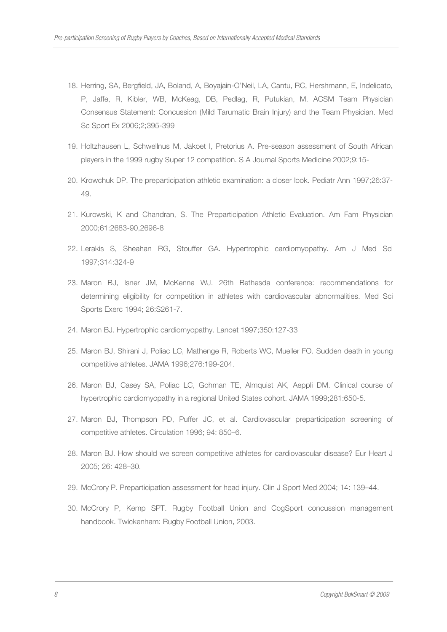- 18. Herring, SA, Bergfield, JA, Boland, A, Boyajain-O'Neil, LA, Cantu, RC, Hershmann, E, Indelicato, P, Jaffe, R, Kibler, WB, McKeag, DB, Pedlag, R, Putukian, M. ACSM Team Physician Consensus Statement: Concussion (Mild Tarumatic Brain Injury) and the Team Physician. Med Sc Sport Ex 2006;2;395-399
- 19. Holtzhausen L, Schwellnus M, Jakoet I, Pretorius A. Pre-season assessment of South African players in the 1999 rugby Super 12 competition. S A Journal Sports Medicine 2002;9:15-
- 20. Krowchuk DP. The preparticipation athletic examination: a closer look. Pediatr Ann 1997;26:37- 49.
- 21. Kurowski, K and Chandran, S. The Preparticipation Athletic Evaluation. Am Fam Physician 2000;61:2683-90,2696-8
- 22. Lerakis S, Sheahan RG, Stouffer GA. Hypertrophic cardiomyopathy. Am J Med Sci 1997;314:324-9
- 23. Maron BJ, Isner JM, McKenna WJ. 26th Bethesda conference: recommendations for determining eligibility for competition in athletes with cardiovascular abnormalities. Med Sci Sports Exerc 1994; 26:S261-7.
- 24. Maron BJ. Hypertrophic cardiomyopathy. Lancet 1997;350:127-33
- 25. Maron BJ, Shirani J, Poliac LC, Mathenge R, Roberts WC, Mueller FO. Sudden death in young competitive athletes. JAMA 1996;276:199-204.
- 26. Maron BJ, Casey SA, Poliac LC, Gohman TE, Almquist AK, Aeppli DM. Clinical course of hypertrophic cardiomyopathy in a regional United States cohort. JAMA 1999;281:650-5.
- 27. Maron BJ, Thompson PD, Puffer JC, et al. Cardiovascular preparticipation screening of competitive athletes. Circulation 1996; 94: 850–6.
- 28. Maron BJ. How should we screen competitive athletes for cardiovascular disease? Eur Heart J 2005; 26: 428–30.
- 29. McCrory P. Preparticipation assessment for head injury. Clin J Sport Med 2004; 14: 139–44.
- 30. McCrory P, Kemp SPT. Rugby Football Union and CogSport concussion management handbook. Twickenham: Rugby Football Union, 2003.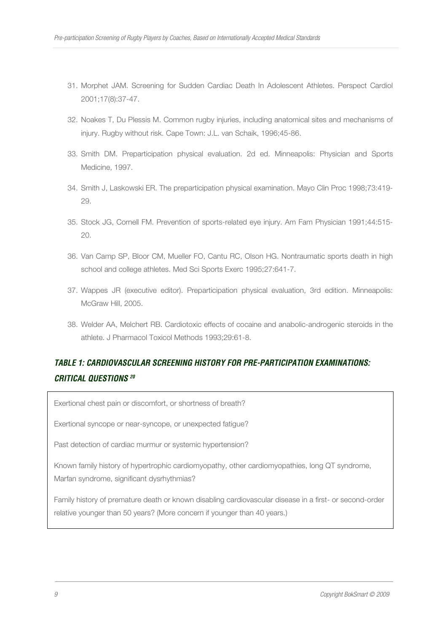- 31. Morphet JAM. Screening for Sudden Cardiac Death In Adolescent Athletes. Perspect Cardiol 2001;17(8):37-47.
- 32. Noakes T, Du Plessis M. Common rugby injuries, including anatomical sites and mechanisms of injury. Rugby without risk. Cape Town: J.L. van Schaik, 1996;45-86.
- 33. Smith DM. Preparticipation physical evaluation. 2d ed. Minneapolis: Physician and Sports Medicine, 1997.
- 34. Smith J, Laskowski ER. The preparticipation physical examination. Mayo Clin Proc 1998;73:419- 29.
- 35. Stock JG, Cornell FM. Prevention of sports-related eye injury. Am Fam Physician 1991;44:515- 20.
- 36. Van Camp SP, Bloor CM, Mueller FO, Cantu RC, Olson HG. Nontraumatic sports death in high school and college athletes. Med Sci Sports Exerc 1995;27:641-7.
- 37. Wappes JR (executive editor). Preparticipation physical evaluation, 3rd edition. Minneapolis: McGraw Hill, 2005.
- 38. Welder AA, Melchert RB. Cardiotoxic effects of cocaine and anabolic-androgenic steroids in the athlete. J Pharmacol Toxicol Methods 1993;29:61-8.

## *TABLE 1: CARDIOVASCULAR SCREENING HISTORY FOR PRE-PARTICIPATION EXAMINATIONS: CRITICAL QUESTIONS <sup>20</sup>*

Exertional chest pain or discomfort, or shortness of breath?

Exertional syncope or near-syncope, or unexpected fatigue?

Past detection of cardiac murmur or systemic hypertension?

Known family history of hypertrophic cardiomyopathy, other cardiomyopathies, long QT syndrome, Marfan syndrome, significant dysrhythmias?

Family history of premature death or known disabling cardiovascular disease in a first- or second-order relative younger than 50 years? (More concern if younger than 40 years.)